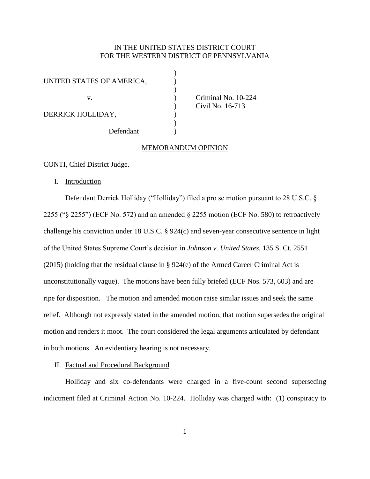# IN THE UNITED STATES DISTRICT COURT FOR THE WESTERN DISTRICT OF PENNSYLVANIA

)

| UNITED STATES OF AMERICA, |  |
|---------------------------|--|
| V.                        |  |
| DERRICK HOLLIDAY,         |  |
| Defendant                 |  |

Criminal No. 10-224 ) Civil No. 16-713

#### MEMORANDUM OPINION

CONTI, Chief District Judge.

I. Introduction

Defendant Derrick Holliday ("Holliday") filed a pro se motion pursuant to 28 U.S.C. § 2255 ("§ 2255") (ECF No. 572) and an amended § 2255 motion (ECF No. 580) to retroactively challenge his conviction under 18 U.S.C. § 924(c) and seven-year consecutive sentence in light of the United States Supreme Court's decision in *Johnson v. United States*, 135 S. Ct. 2551 (2015) (holding that the residual clause in § 924(e) of the Armed Career Criminal Act is unconstitutionally vague). The motions have been fully briefed (ECF Nos. 573, 603) and are ripe for disposition. The motion and amended motion raise similar issues and seek the same relief. Although not expressly stated in the amended motion, that motion supersedes the original motion and renders it moot. The court considered the legal arguments articulated by defendant in both motions. An evidentiary hearing is not necessary.

## II. Factual and Procedural Background

Holliday and six co-defendants were charged in a five-count second superseding indictment filed at Criminal Action No. 10-224. Holliday was charged with: (1) conspiracy to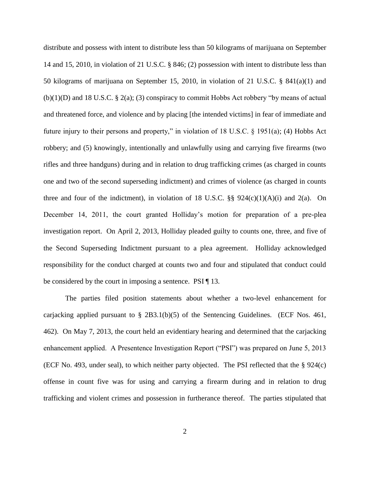distribute and possess with intent to distribute less than 50 kilograms of marijuana on September 14 and 15, 2010, in violation of 21 U.S.C. § 846; (2) possession with intent to distribute less than 50 kilograms of marijuana on September 15, 2010, in violation of 21 U.S.C. § 841(a)(1) and  $(b)(1)(D)$  and 18 U.S.C. § 2(a); (3) conspiracy to commit Hobbs Act robbery "by means of actual and threatened force, and violence and by placing [the intended victims] in fear of immediate and future injury to their persons and property," in violation of 18 U.S.C. § 1951(a); (4) Hobbs Act robbery; and (5) knowingly, intentionally and unlawfully using and carrying five firearms (two rifles and three handguns) during and in relation to drug trafficking crimes (as charged in counts one and two of the second superseding indictment) and crimes of violence (as charged in counts three and four of the indictment), in violation of 18 U.S.C.  $\S$ § 924(c)(1)(A)(i) and 2(a). On December 14, 2011, the court granted Holliday's motion for preparation of a pre-plea investigation report. On April 2, 2013, Holliday pleaded guilty to counts one, three, and five of the Second Superseding Indictment pursuant to a plea agreement. Holliday acknowledged responsibility for the conduct charged at counts two and four and stipulated that conduct could be considered by the court in imposing a sentence. PSI [13.

The parties filed position statements about whether a two-level enhancement for carjacking applied pursuant to  $\S$  2B3.1(b)(5) of the Sentencing Guidelines. (ECF Nos. 461, 462). On May 7, 2013, the court held an evidentiary hearing and determined that the carjacking enhancement applied. A Presentence Investigation Report ("PSI") was prepared on June 5, 2013 (ECF No. 493, under seal), to which neither party objected. The PSI reflected that the § 924(c) offense in count five was for using and carrying a firearm during and in relation to drug trafficking and violent crimes and possession in furtherance thereof. The parties stipulated that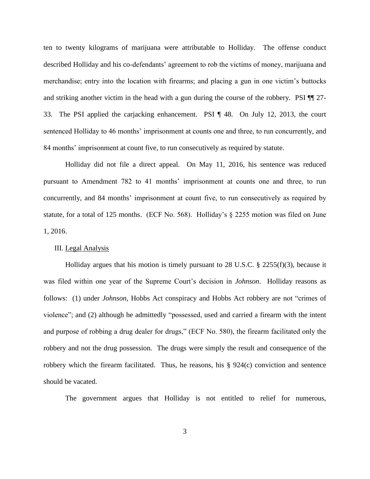ten to twenty kilograms of marijuana were attributable to Holliday. The offense conduct described Holliday and his co-defendants' agreement to rob the victims of money, marijuana and merchandise; entry into the location with firearms; and placing a gun in one victim's buttocks and striking another victim in the head with a gun during the course of the robbery. PSI ¶¶ 27- 33. The PSI applied the carjacking enhancement. PSI ¶ 48. On July 12, 2013, the court sentenced Holliday to 46 months' imprisonment at counts one and three, to run concurrently, and 84 months' imprisonment at count five, to run consecutively as required by statute.

Holliday did not file a direct appeal. On May 11, 2016, his sentence was reduced pursuant to Amendment 782 to 41 months' imprisonment at counts one and three, to run concurrently, and 84 months' imprisonment at count five, to run consecutively as required by statute, for a total of 125 months. (ECF No. 568). Holliday's § 2255 motion was filed on June 1, 2016.

## III. Legal Analysis

Holliday argues that his motion is timely pursuant to 28 U.S.C. § 2255(f)(3), because it was filed within one year of the Supreme Court's decision in *Johnson*. Holliday reasons as follows: (1) under *Johnson*, Hobbs Act conspiracy and Hobbs Act robbery are not "crimes of violence"; and (2) although he admittedly "possessed, used and carried a firearm with the intent and purpose of robbing a drug dealer for drugs," (ECF No. 580), the firearm facilitated only the robbery and not the drug possession. The drugs were simply the result and consequence of the robbery which the firearm facilitated. Thus, he reasons, his § 924(c) conviction and sentence should be vacated.

The government argues that Holliday is not entitled to relief for numerous,

3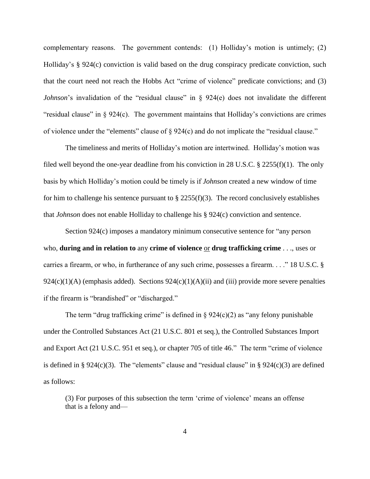complementary reasons. The government contends: (1) Holliday's motion is untimely; (2) Holliday's § 924(c) conviction is valid based on the drug conspiracy predicate conviction, such that the court need not reach the Hobbs Act "crime of violence" predicate convictions; and (3) *Johnson*'s invalidation of the "residual clause" in § 924(e) does not invalidate the different "residual clause" in § 924(c). The government maintains that Holliday's convictions are crimes of violence under the "elements" clause of § 924(c) and do not implicate the "residual clause."

The timeliness and merits of Holliday's motion are intertwined. Holliday's motion was filed well beyond the one-year deadline from his conviction in 28 U.S.C. § 2255(f)(1). The only basis by which Holliday's motion could be timely is if *Johnson* created a new window of time for him to challenge his sentence pursuant to  $\S 2255(f)(3)$ . The record conclusively establishes that *Johnson* does not enable Holliday to challenge his § 924(c) conviction and sentence.

Section 924(c) imposes a mandatory minimum consecutive sentence for "any person who, **during and in relation to** any **crime of violence** <u>or</u> **drug trafficking crime** . . ., uses or carries a firearm, or who, in furtherance of any such crime, possesses a firearm. . . ." 18 U.S.C. §  $924(c)(1)(A)$  (emphasis added). Sections  $924(c)(1)(A)(ii)$  and (iii) provide more severe penalties if the firearm is "brandished" or "discharged."

The term "drug trafficking crime" is defined in  $\S 924(c)(2)$  as "any felony punishable under the Controlled Substances Act (21 U.S.C. 801 et seq.), the Controlled Substances Import and Export Act (21 U.S.C. 951 et seq.), or chapter 705 of title 46." The term "crime of violence is defined in § 924(c)(3). The "elements" clause and "residual clause" in § 924(c)(3) are defined as follows:

(3) For purposes of this subsection the term 'crime of violence' means an offense that is a felony and—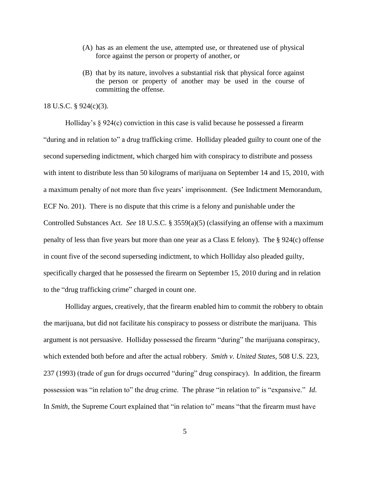- (A) has as an element the use, attempted use, or threatened use of physical force against the person or property of another, or
- (B) that by its nature, involves a substantial risk that physical force against the person or property of another may be used in the course of committing the offense.

## 18 U.S.C. § 924(c)(3).

Holliday's § 924(c) conviction in this case is valid because he possessed a firearm "during and in relation to" a drug trafficking crime. Holliday pleaded guilty to count one of the second superseding indictment, which charged him with conspiracy to distribute and possess with intent to distribute less than 50 kilograms of marijuana on September 14 and 15, 2010, with a maximum penalty of not more than five years' imprisonment. (See Indictment Memorandum, ECF No. 201). There is no dispute that this crime is a felony and punishable under the Controlled Substances Act. *See* 18 U.S.C. § 3559(a)(5) (classifying an offense with a maximum penalty of less than five years but more than one year as a Class E felony). The § 924(c) offense in count five of the second superseding indictment, to which Holliday also pleaded guilty, specifically charged that he possessed the firearm on September 15, 2010 during and in relation to the "drug trafficking crime" charged in count one.

Holliday argues, creatively, that the firearm enabled him to commit the robbery to obtain the marijuana, but did not facilitate his conspiracy to possess or distribute the marijuana. This argument is not persuasive. Holliday possessed the firearm "during" the marijuana conspiracy, which extended both before and after the actual robbery. *Smith v. United States*, 508 U.S. 223, 237 (1993) (trade of gun for drugs occurred "during" drug conspiracy). In addition, the firearm possession was "in relation to" the drug crime. The phrase "in relation to" is "expansive." *Id*. In *Smith*, the Supreme Court explained that "in relation to" means "that the firearm must have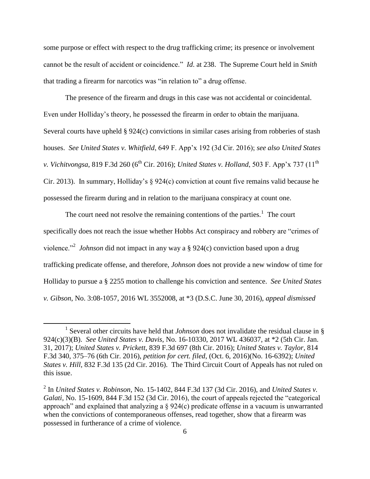some purpose or effect with respect to the drug trafficking crime; its presence or involvement cannot be the result of accident or coincidence." *Id*. at 238. The Supreme Court held in *Smith* that trading a firearm for narcotics was "in relation to" a drug offense.

The presence of the firearm and drugs in this case was not accidental or coincidental. Even under Holliday's theory, he possessed the firearm in order to obtain the marijuana. Several courts have upheld § 924(c) convictions in similar cases arising from robberies of stash houses. *See United States v. Whitfield*, 649 F. App'x 192 (3d Cir. 2016); *see also United States v. Vichitvongsa*, 819 F.3d 260 (6<sup>th</sup> Cir. 2016); *United States v. Holland*, 503 F. App'x 737 (11<sup>th</sup>) Cir. 2013). In summary, Holliday's § 924(c) conviction at count five remains valid because he possessed the firearm during and in relation to the marijuana conspiracy at count one.

The court need not resolve the remaining contentions of the parties. $<sup>1</sup>$  The court</sup> specifically does not reach the issue whether Hobbs Act conspiracy and robbery are "crimes of violence.<sup>"2</sup> *Johnson* did not impact in any way a § 924(c) conviction based upon a drug trafficking predicate offense, and therefore, *Johnson* does not provide a new window of time for Holliday to pursue a § 2255 motion to challenge his conviction and sentence. *See United States v. Gibson*, No. 3:08-1057, 2016 WL 3552008, at \*3 (D.S.C. June 30, 2016), *appeal dismissed*

 $\overline{a}$ 

<sup>&</sup>lt;sup>1</sup> Several other circuits have held that *Johnson* does not invalidate the residual clause in  $\S$ 924(c)(3)(B). *See United States v. Davis*, No. 16-10330, 2017 WL 436037, at \*2 (5th Cir. Jan. 31, 2017); *United States v. Prickett*, 839 F.3d 697 (8th Cir. 2016); *United States v. Taylor*, 814 F.3d 340, 375–76 (6th Cir. 2016), *petition for cert. filed*, (Oct. 6, 2016)(No. 16-6392); *United States v. Hill*, 832 F.3d 135 (2d Cir. 2016). The Third Circuit Court of Appeals has not ruled on this issue.

<sup>2</sup> In *United States v. Robinson*, No. 15-1402, 844 F.3d 137 (3d Cir. 2016), and *United States v. Galati,* No. 15-1609, 844 F.3d 152 (3d Cir. 2016), the court of appeals rejected the "categorical approach" and explained that analyzing a § 924(c) predicate offense in a vacuum is unwarranted when the convictions of contemporaneous offenses, read together, show that a firearm was possessed in furtherance of a crime of violence.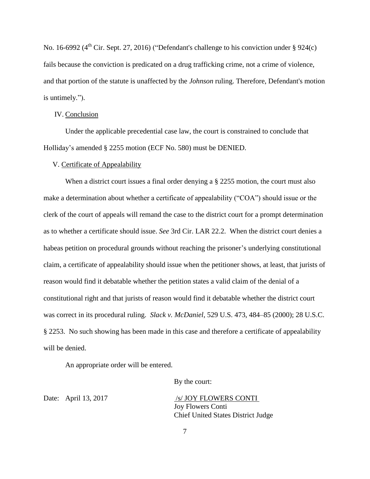No. 16-6992 ( $4<sup>th</sup>$  Cir. Sept. 27, 2016) ("Defendant's challenge to his conviction under § 924(c) fails because the conviction is predicated on a drug trafficking crime, not a crime of violence, and that portion of the statute is unaffected by the *Johnson* ruling. Therefore, Defendant's motion is untimely.").

### IV. Conclusion

Under the applicable precedential case law, the court is constrained to conclude that Holliday's amended § 2255 motion (ECF No. 580) must be DENIED.

### V. Certificate of Appealability

When a district court issues a final order denying a § 2255 motion, the court must also make a determination about whether a certificate of appealability ("COA") should issue or the clerk of the court of appeals will remand the case to the district court for a prompt determination as to whether a certificate should issue. *See* 3rd Cir. LAR 22.2. When the district court denies a habeas petition on procedural grounds without reaching the prisoner's underlying constitutional claim, a certificate of appealability should issue when the petitioner shows, at least, that jurists of reason would find it debatable whether the petition states a valid claim of the denial of a constitutional right and that jurists of reason would find it debatable whether the district court was correct in its procedural ruling. *Slack v. McDaniel*, 529 U.S. 473, 484–85 (2000); 28 U.S.C. § 2253. No such showing has been made in this case and therefore a certificate of appealability will be denied.

An appropriate order will be entered.

By the court:

Date: April 13, 2017 /s/ JOY FLOWERS CONTI Joy Flowers Conti Chief United States District Judge